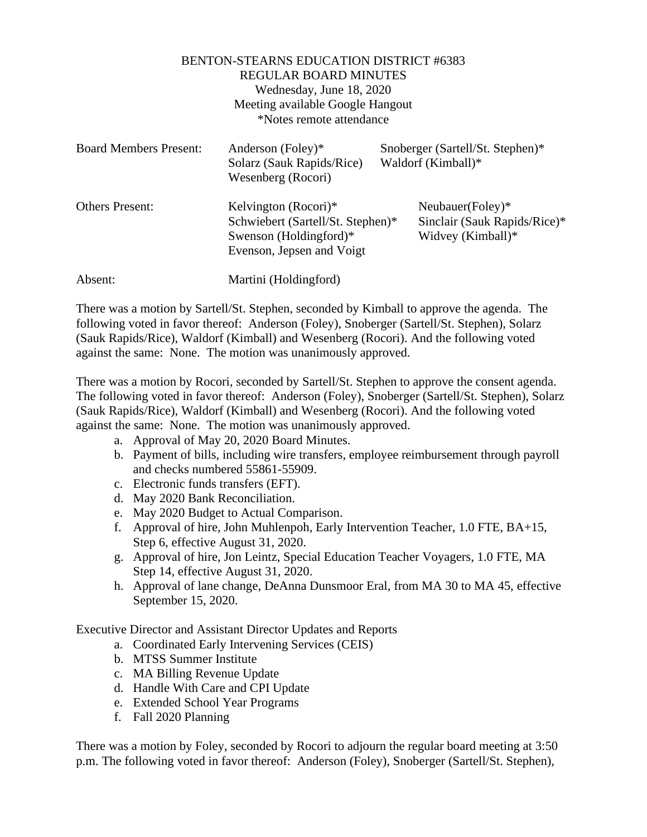## BENTON-STEARNS EDUCATION DISTRICT #6383 REGULAR BOARD MINUTES Wednesday, June 18, 2020 Meeting available Google Hangout \*Notes remote attendance

| <b>Board Members Present:</b> | Anderson (Foley)*<br>Solarz (Sauk Rapids/Rice)<br>Wesenberg (Rocori)                                             | Snoberger (Sartell/St. Stephen)*<br>Waldorf (Kimball)*                |
|-------------------------------|------------------------------------------------------------------------------------------------------------------|-----------------------------------------------------------------------|
| <b>Others Present:</b>        | Kelvington (Rocori)*<br>Schwiebert (Sartell/St. Stephen)*<br>Swenson (Holdingford)*<br>Evenson, Jepsen and Voigt | Neubauer(Foley)*<br>Sinclair (Sauk Rapids/Rice)*<br>Widvey (Kimball)* |
| Absent:                       | Martini (Holdingford)                                                                                            |                                                                       |

There was a motion by Sartell/St. Stephen, seconded by Kimball to approve the agenda. The following voted in favor thereof: Anderson (Foley), Snoberger (Sartell/St. Stephen), Solarz (Sauk Rapids/Rice), Waldorf (Kimball) and Wesenberg (Rocori). And the following voted against the same: None. The motion was unanimously approved.

There was a motion by Rocori, seconded by Sartell/St. Stephen to approve the consent agenda. The following voted in favor thereof: Anderson (Foley), Snoberger (Sartell/St. Stephen), Solarz (Sauk Rapids/Rice), Waldorf (Kimball) and Wesenberg (Rocori). And the following voted against the same: None. The motion was unanimously approved.

- a. Approval of May 20, 2020 Board Minutes.
- b. Payment of bills, including wire transfers, employee reimbursement through payroll and checks numbered 55861-55909.
- c. Electronic funds transfers (EFT).
- d. May 2020 Bank Reconciliation.
- e. May 2020 Budget to Actual Comparison.
- f. Approval of hire, John Muhlenpoh, Early Intervention Teacher, 1.0 FTE, BA+15, Step 6, effective August 31, 2020.
- g. Approval of hire, Jon Leintz, Special Education Teacher Voyagers, 1.0 FTE, MA Step 14, effective August 31, 2020.
- h. Approval of lane change, DeAnna Dunsmoor Eral, from MA 30 to MA 45, effective September 15, 2020.

Executive Director and Assistant Director Updates and Reports

- a. Coordinated Early Intervening Services (CEIS)
- b. MTSS Summer Institute
- c. MA Billing Revenue Update
- d. Handle With Care and CPI Update
- e. Extended School Year Programs
- f. Fall 2020 Planning

There was a motion by Foley, seconded by Rocori to adjourn the regular board meeting at 3:50 p.m. The following voted in favor thereof: Anderson (Foley), Snoberger (Sartell/St. Stephen),